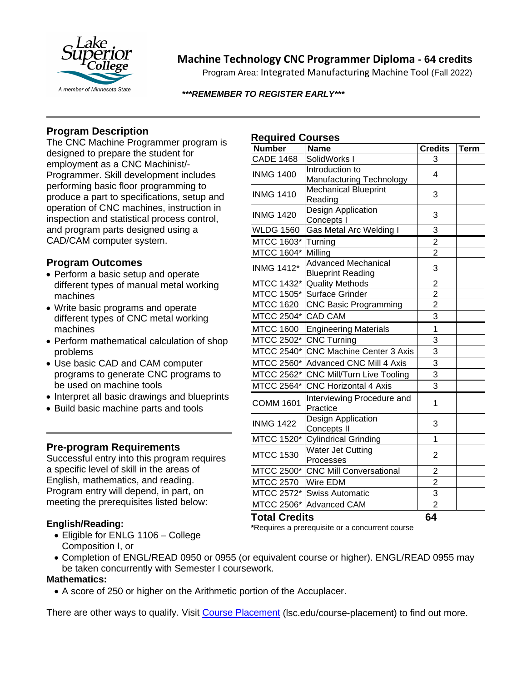

# **Machine Technology CNC Programmer Diploma - 64 credits**

Program Area: Integrated Manufacturing Machine Tool (Fall 2022)

#### *\*\*\*REMEMBER TO REGISTER EARLY\*\*\**

## **Program Description**

The CNC Machine Programmer program is designed to prepare the student for employment as a CNC Machinist/- Programmer. Skill development includes performing basic floor programming to produce a part to specifications, setup and operation of CNC machines, instruction in inspection and statistical process control, and program parts designed using a CAD/CAM computer system.

### **Program Outcomes**

- Perform a basic setup and operate different types of manual metal working machines
- Write basic programs and operate different types of CNC metal working machines
- Perform mathematical calculation of shop problems
- Use basic CAD and CAM computer programs to generate CNC programs to be used on machine tools
- Interpret all basic drawings and blueprints
- Build basic machine parts and tools

#### **Pre-program Requirements**

Successful entry into this program requires a specific level of skill in the areas of English, mathematics, and reading. Program entry will depend, in part, on meeting the prerequisites listed below:

#### **English/Reading:**

- Eligible for ENLG 1106 College Composition I, or
- Completion of ENGL/READ 0950 or 0955 (or equivalent course or higher). ENGL/READ 0955 may be taken concurrently with Semester I coursework.

#### **Mathematics:**

• A score of 250 or higher on the Arithmetic portion of the Accuplacer.

There are other ways to qualify. Visit [Course Placement](https://www.lsc.edu/course-placement/) (lsc.edu/course-placement) to find out more.

## **Required Courses**

| <b>Number</b>        | <b>Name</b>                            | <b>Credits</b> | <b>Term</b> |
|----------------------|----------------------------------------|----------------|-------------|
| <b>CADE 1468</b>     | SolidWorks I                           | 3              |             |
| <b>INMG 1400</b>     | Introduction to                        | 4              |             |
|                      | Manufacturing Technology               |                |             |
| <b>INMG 1410</b>     | <b>Mechanical Blueprint</b>            | 3              |             |
|                      | Reading                                |                |             |
| <b>INMG 1420</b>     | Design Application<br>Concepts I       | 3              |             |
| <b>WLDG 1560</b>     | <b>Gas Metal Arc Welding I</b>         | 3              |             |
| MTCC 1603*           | Turning                                | $\overline{2}$ |             |
| <b>MTCC 1604*</b>    | Milling                                | $\overline{2}$ |             |
|                      | <b>Advanced Mechanical</b>             |                |             |
| <b>INMG 1412*</b>    | <b>Blueprint Reading</b>               | 3              |             |
| MTCC 1432*           | <b>Quality Methods</b>                 | $\overline{2}$ |             |
| <b>MTCC 1505*</b>    | <b>Surface Grinder</b>                 | $\overline{2}$ |             |
| <b>MTCC 1620</b>     | <b>CNC Basic Programming</b>           | $\overline{2}$ |             |
| MTCC 2504*           | <b>CAD CAM</b>                         | 3              |             |
| <b>MTCC 1600</b>     | <b>Engineering Materials</b>           | $\overline{1}$ |             |
| MTCC 2502*           | <b>CNC Turning</b>                     | 3              |             |
| MTCC 2540*           | <b>CNC Machine Center 3 Axis</b>       | 3              |             |
| MTCC 2560*           | Advanced CNC Mill 4 Axis               | 3              |             |
| MTCC 2562*           | <b>CNC Mill/Turn Live Tooling</b>      | 3              |             |
| MTCC 2564*           | <b>CNC Horizontal 4 Axis</b>           | 3              |             |
| <b>COMM 1601</b>     | Interviewing Procedure and<br>Practice | 1              |             |
| <b>INMG 1422</b>     | Design Application<br>Concepts II      | 3              |             |
| MTCC 1520*           | <b>Cylindrical Grinding</b>            | 1              |             |
| <b>MTCC 1530</b>     | Water Jet Cutting                      | 2              |             |
|                      | Processes                              |                |             |
| MTCC 2500*           | <b>CNC Mill Conversational</b>         | $\overline{2}$ |             |
| <b>MTCC 2570</b>     | Wire EDM                               | $\overline{2}$ |             |
| MTCC 2572*           | <b>Swiss Automatic</b>                 | 3              |             |
| <b>MTCC 2506*</b>    | <b>Advanced CAM</b>                    | $\overline{2}$ |             |
| <b>Total Credits</b> |                                        | 64             |             |

**\***Requires a prerequisite or a concurrent course